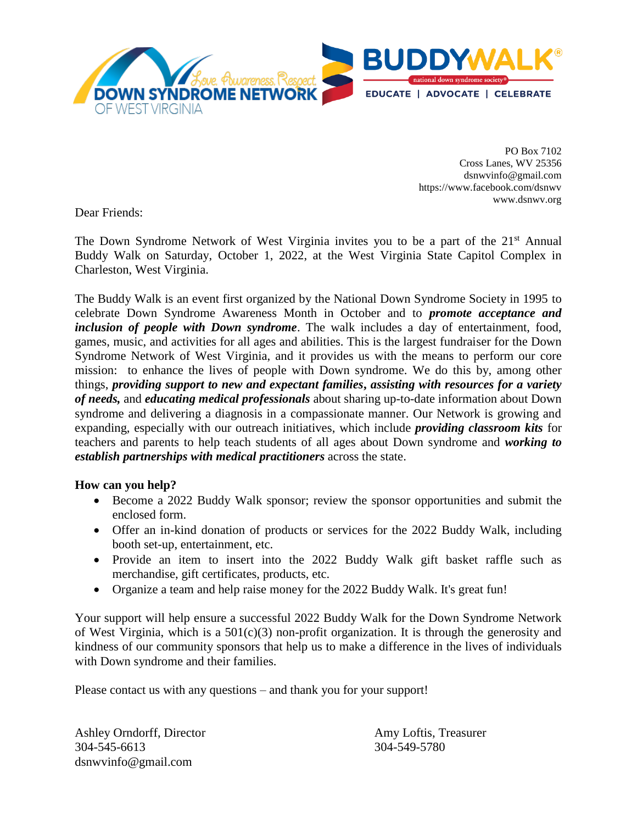

PO Box 7102 Cross Lanes, WV 25356 [dsnwvinfo@gmail.com](mailto:dsnwvinfo@gmail.com) <https://www.facebook.com/dsnwv> www.dsnwv.org

Dear Friends:

The Down Syndrome Network of West Virginia invites you to be a part of the 21<sup>st</sup> Annual Buddy Walk on Saturday, October 1, 2022, at the West Virginia State Capitol Complex in Charleston, West Virginia.

The Buddy Walk is an event first organized by the National Down Syndrome Society in 1995 to celebrate Down Syndrome Awareness Month in October and to *promote acceptance and inclusion of people with Down syndrome*. The walk includes a day of entertainment, food, games, music, and activities for all ages and abilities. This is the largest fundraiser for the Down Syndrome Network of West Virginia, and it provides us with the means to perform our core mission: to enhance the lives of people with Down syndrome. We do this by, among other things, *providing support to new and expectant families***,** *assisting with resources for a variety of needs,* and *educating medical professionals* about sharing up-to-date information about Down syndrome and delivering a diagnosis in a compassionate manner. Our Network is growing and expanding, especially with our outreach initiatives, which include *providing classroom kits* for teachers and parents to help teach students of all ages about Down syndrome and *working to establish partnerships with medical practitioners* across the state.

#### **How can you help?**

- Become a 2022 Buddy Walk sponsor; review the sponsor opportunities and submit the enclosed form.
- Offer an in-kind donation of products or services for the 2022 Buddy Walk, including booth set-up, entertainment, etc.
- Provide an item to insert into the 2022 Buddy Walk gift basket raffle such as merchandise, gift certificates, products, etc.
- Organize a team and help raise money for the 2022 Buddy Walk. It's great fun!

Your support will help ensure a successful 2022 Buddy Walk for the Down Syndrome Network of West Virginia, which is a  $501(c)(3)$  non-profit organization. It is through the generosity and kindness of our community sponsors that help us to make a difference in the lives of individuals with Down syndrome and their families.

Please contact us with any questions – and thank you for your support!

Ashley Orndorff, Director **Amy Loftis, Treasurer** Amy Loftis, Treasurer 304-545-6613 304-549-5780 [dsnwvinfo@gmail.com](mailto:dsnwvinfo@gmail.com)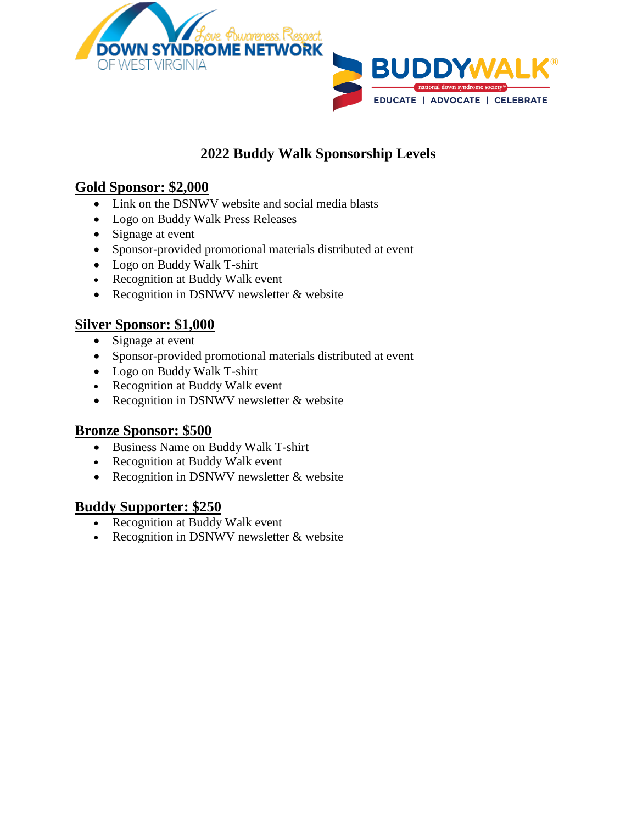

# **2022 Buddy Walk Sponsorship Levels**

### **Gold Sponsor: \$2,000**

- Link on the DSNWV website and social media blasts
- Logo on Buddy Walk Press Releases
- Signage at event
- Sponsor-provided promotional materials distributed at event
- Logo on Buddy Walk T-shirt
- Recognition at Buddy Walk event
- Recognition in DSNWV newsletter  $&$  website

#### **Silver Sponsor: \$1,000**

- Signage at event
- Sponsor-provided promotional materials distributed at event
- Logo on Buddy Walk T-shirt
- Recognition at Buddy Walk event
- Recognition in DSNWV newsletter & website

#### **Bronze Sponsor: \$500**

- Business Name on Buddy Walk T-shirt
- Recognition at Buddy Walk event
- Recognition in DSNWV newsletter & website

### **Buddy Supporter: \$250**

- Recognition at Buddy Walk event
- Recognition in DSNWV newsletter & website